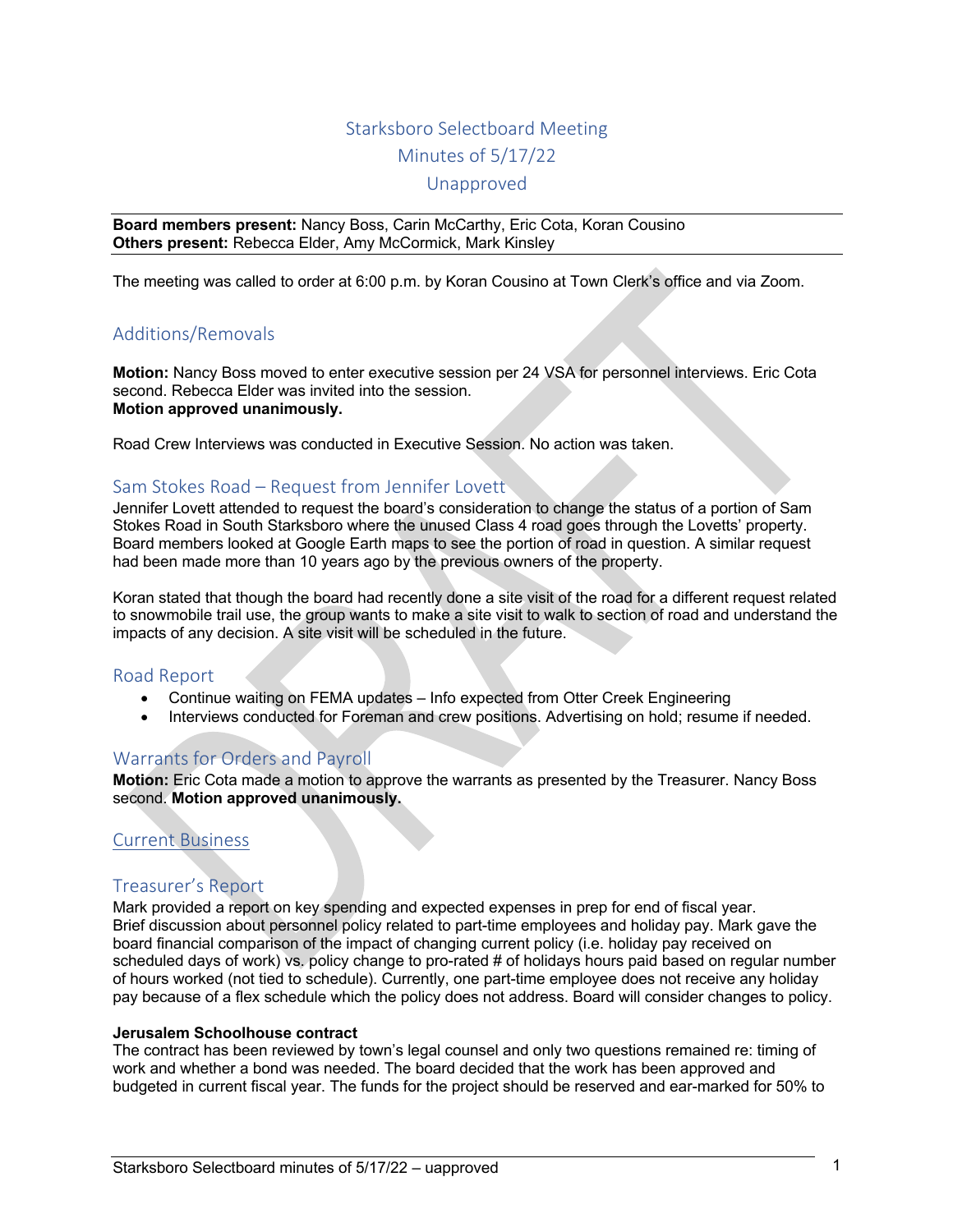# Starksboro Selectboard Meeting Minutes of 5/17/22

Unapproved

**Board members present:** Nancy Boss, Carin McCarthy, Eric Cota, Koran Cousino **Others present:** Rebecca Elder, Amy McCormick, Mark Kinsley

The meeting was called to order at 6:00 p.m. by Koran Cousino at Town Clerk's office and via Zoom.

# Additions/Removals

**Motion:** Nancy Boss moved to enter executive session per 24 VSA for personnel interviews. Eric Cota second. Rebecca Elder was invited into the session. **Motion approved unanimously.**

Road Crew Interviews was conducted in Executive Session. No action was taken.

# Sam Stokes Road – Request from Jennifer Lovett

Jennifer Lovett attended to request the board's consideration to change the status of a portion of Sam Stokes Road in South Starksboro where the unused Class 4 road goes through the Lovetts' property. Board members looked at Google Earth maps to see the portion of road in question. A similar request had been made more than 10 years ago by the previous owners of the property.

Koran stated that though the board had recently done a site visit of the road for a different request related to snowmobile trail use, the group wants to make a site visit to walk to section of road and understand the impacts of any decision. A site visit will be scheduled in the future.

# Road Report

- Continue waiting on FEMA updates Info expected from Otter Creek Engineering
- Interviews conducted for Foreman and crew positions. Advertising on hold; resume if needed.

# Warrants for Orders and Payroll

**Motion:** Eric Cota made a motion to approve the warrants as presented by the Treasurer. Nancy Boss second. **Motion approved unanimously.**

# Current Business

# Treasurer's Report

Mark provided a report on key spending and expected expenses in prep for end of fiscal year. Brief discussion about personnel policy related to part-time employees and holiday pay. Mark gave the board financial comparison of the impact of changing current policy (i.e. holiday pay received on scheduled days of work) vs. policy change to pro-rated # of holidays hours paid based on regular number of hours worked (not tied to schedule). Currently, one part-time employee does not receive any holiday pay because of a flex schedule which the policy does not address. Board will consider changes to policy.

#### **Jerusalem Schoolhouse contract**

The contract has been reviewed by town's legal counsel and only two questions remained re: timing of work and whether a bond was needed. The board decided that the work has been approved and budgeted in current fiscal year. The funds for the project should be reserved and ear-marked for 50% to